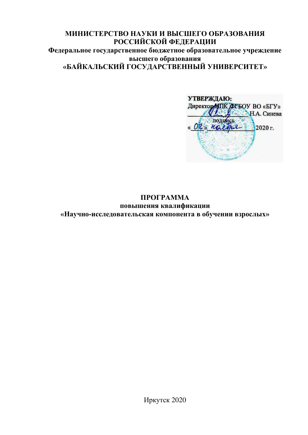# МИНИСТЕРСТВО НАУКИ И ВЫСШЕГО ОБРАЗОВАНИЯ РОССИЙСКОЙ ФЕДЕРАЦИИ Федеральное государственное бюджетное образовательное учреждение **высшего образования** «БАЙКАЛЬСКИЙ ГОСУДАРСТВЕННЫЙ УНИВЕРСИТЕТ»

УТВЕРЖДАЮ: Директор МПК ФГБОУ ВО «БГУ» H.A. Cинева подпись « OR» norther=  $12020r$ .

## **TIPOFPAMMA** повышения квалификации «Научно-исследовательская компонента в обучении взрослых»

Иркутск 2020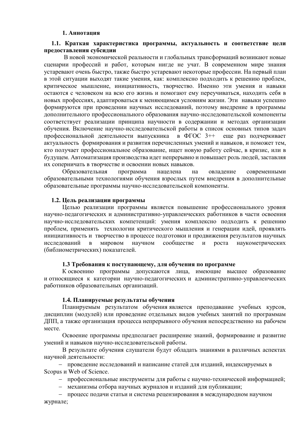#### 1. Аннота**ния**

#### **1.1. Краткая характеристика программы, актуальность и соответствие цели** предоставления субсилии

В новой экономической реальности и глобальных трансформаций возникают новые сценарии профессий и работ, которым нигде не учат. В современном мире знания устаревают очень быстро, также быстро устаревают некоторые профессии. На первый план в этой ситуации выходят такие умения, как: комплексно подходить к решению проблем, критическое мышление, инициативность, творчество. Именно эти умения и навыки остаются с человеком на всю его жизнь и помогают ему переучиваться, находить себя в новых профессиях, адаптироваться к меняющимся условиям жизни. Эти навыки успешно формируются при проведении научных исследований, поэтому внедрение в программы дополнительного профессионального образования научно-исследовательской компоненты соответствует реализации принципа научности в содержании и методах организации обучения. Включение научно-исслеловательской работы в список основных типов залач профессиональной деятельности выпускника в ФГОС  $3++$  еще раз подчеркивает актуальность формирования и развития перечисленных умений и навыков, и поможет тем, кто получает профессиональное образование, ищет новую работу сейчас, в кризис, или в будущем. Автоматизация производства идет непрерывно и повышает роль людей, заставляя их соперничать в творчестве и освоении новых навыков.

Образовательная программа нацелена на овладение современными образовательными технологиями обучения взрослых путем внелрения в лополнительные образовательные программы научно-исследовательской компоненты.

#### 1.2. Цель реализации программы

Целью реализации программы является повышение профессионального уровня научно-педагогических и административно-управленческих работников в части освоения научно-исследовательских компетенций: умения комплексно подходить к решению проблем, применять технологии критического мышления и генерации идей, проявлять инициативность и творчество в процессе подготовки и продвижения результатов научных исследований в мировом научном сообществе и роста наукометрических (библиометрических) показателей.

#### 1.3 Требования к поступающему, для обучения по программе

К освоению программы допускаются лица, имеющие высшее образование и относящиеся к категории научно-педагогических и административно-управленческих работников образовательных организаций.

#### 1.4. Планируемые результаты обучения

Планируемым результатом обучения является преподавание учебных курсов, дисциплин (модулей) или проведение отдельных видов учебных занятий по программам ДПП, а также организация процесса непрерывного обучения непосредственно на рабочем Mecte.

Освоение программы предполагает расширение знаний, формирование и развитие умений и навыков научно-исследовательской работы.

В результате обучения слушатели будут обладать знаниями в различных аспектах научной деятельности:

– проведение исследований и написание статей для изданий, индексируемых в Scopus и Web of Science.

- профессиональные инструменты для работы с научно-технической информацией;
- механизмы отбора научных журналов и изданий для публикации;

— процесс подачи статьи и система рецензирования в международном научном журнале;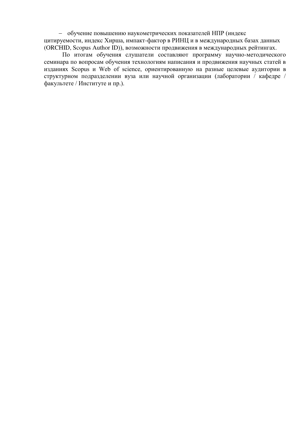- обучение повышению наукометрических показателей НПР (индекс цитируемости, индекс Хирша, импакт-фактор в РИНЦ и в международных базах данных (ORCHID, Scopus Author ID)), возможности продвижения в международных рейтингах.

По итогам обучения слушатели составляют программу научно-методического семинара по вопросам обучения технологиям написания и продвижения научных статей в изданиях Scopus и Web of science, ориентированную на разные целевые аудитории в структурном подразделении вуза или научной организации (лаборатории / кафедре / факультете / Институте и пр.).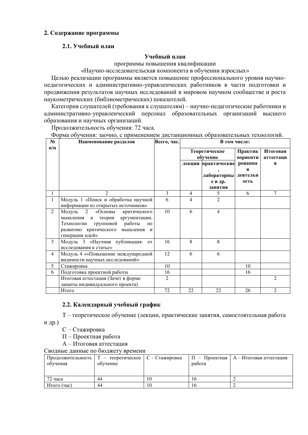#### 2. Содержание программы

## 2.1. Учебный план

#### **Учебный план**

программы повышения квалификации

«Научно-исследовательская компонента в обучении взрослых»

Целью реализации программы является повышение профессионального уровня научнопедагогических и административно-управленческих работников в части подготовки и продвижения результатов научных исследований в мировом научном сообществе и роста наукометрических (библиометрических) показателей.

Категория слушателей (требования к слушателям) – научно-педагогические работники и административно-управленческий персонал образовательных организаций высшего образования и научных организаций.

Продолжительность обучения: 72 часа.

Форма обучения: заочно, с применением дистанционных образовательных технологий.

| $N_2$<br>$\Pi/\Pi$ | Наименование разделов                                                                                                                                                                             | Всего, час.    | В том числе:              |                                                          |                                  |                       |
|--------------------|---------------------------------------------------------------------------------------------------------------------------------------------------------------------------------------------------|----------------|---------------------------|----------------------------------------------------------|----------------------------------|-----------------------|
|                    |                                                                                                                                                                                                   |                | Теоретическое<br>обучение |                                                          | Практик<br>оориенти              | Итоговая<br>аттестаци |
|                    |                                                                                                                                                                                                   |                |                           | лекции практические<br>лабораторны<br>е и др.<br>занятия | рованна<br>я<br>деятельн<br>ость | я                     |
| 1                  | 2                                                                                                                                                                                                 | 3              | 4                         | 5                                                        | 6                                | 7                     |
| $\mathbf 1$        | Модуль 1 «Поиск и обработка научной<br>информации из открытых источников»                                                                                                                         | 6              | 4                         | $\mathfrak{D}$                                           |                                  |                       |
| $\overline{2}$     | Модуль<br>2<br>«Основы<br>критического<br>мышления<br>аргументации.<br>теория<br>И<br>групповой работы<br>Технологии<br>$\Pi$ <sup>O</sup><br>развитию критического мышления и<br>генерации идей» | 10             | 6                         | $\overline{4}$                                           |                                  |                       |
| 3                  | Модуль 3 «Научная публикация:<br><b>OT</b><br>исследования к статье»                                                                                                                              | 16             | 8                         | 8                                                        |                                  |                       |
| $\overline{4}$     | Модуль 4 ««Повышение международной<br>видимости научных исследований»                                                                                                                             | 12             | 6                         | 6                                                        |                                  |                       |
| 5                  | Стажировка                                                                                                                                                                                        | 10             |                           |                                                          | 10                               |                       |
| 6                  | Подготовка проектной работы                                                                                                                                                                       | 16             |                           |                                                          | 16                               |                       |
|                    | Итоговая аттестация (Зачет в форме<br>защиты индивидуального проекта)                                                                                                                             | $\overline{2}$ |                           |                                                          |                                  | $\overline{2}$        |
|                    | Итого                                                                                                                                                                                             | 72             | 22                        | 22                                                       | 26                               | $\overline{2}$        |

#### 2.2. Календарный учебный график

T – теоретическое обучение (лекции, практические занятия, самостоятельная работа и др.)

- С Стажировка
- П Проектная работа
- А Итоговая аттестация

Сводные данные по бюджету времени

|             | Продолжительность $ T -$ теоретическое $ C - C$ тажировка |    |        | $\Pi$ – Проектная   А – Итоговая аттестация |
|-------------|-----------------------------------------------------------|----|--------|---------------------------------------------|
| обучения    | обучение                                                  |    | работа |                                             |
|             |                                                           |    |        |                                             |
|             |                                                           |    |        |                                             |
| 72 часа     | 44                                                        | 10 | ıб     |                                             |
| Итого (час) | 44                                                        | 10 | 10     |                                             |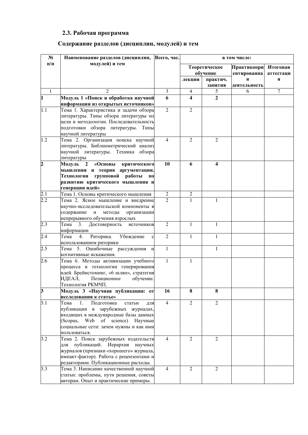# 2.3. Рабочая программа

# Содержание разделов (дисциплин, модулей) и тем

| $N_2$            | Наименование разделов (дисциплин,                                                                                                                                                                                              | Всего, час.      | в том числе:   |                           |                            |                       |
|------------------|--------------------------------------------------------------------------------------------------------------------------------------------------------------------------------------------------------------------------------|------------------|----------------|---------------------------|----------------------------|-----------------------|
| $\Pi/\Pi$        | модулей) и тем                                                                                                                                                                                                                 |                  |                | Теоретическое<br>обучение | Практикоори<br>ентированна | Итоговая<br>аттестаци |
|                  |                                                                                                                                                                                                                                |                  | лекции         | практич.<br>занятия       | Я<br>деятельность          | Я                     |
| $\mathbf{1}$     | $\mathfrak{D}$                                                                                                                                                                                                                 | $\overline{3}$   | $\overline{4}$ | 5                         | 6                          | $\overline{7}$        |
| $\mathbf{1}$     | Модуль 1 «Поиск и обработка научной                                                                                                                                                                                            | 6                | 4              | 2                         |                            |                       |
|                  | информации из открытых источников»                                                                                                                                                                                             |                  |                |                           |                            |                       |
| 1.1              | Тема 1. Характеристика и задачи обзора<br>литературы. Типы обзора литературы по<br>цели и методологии. Последовательность<br>подготовки обзора литературы. Типы<br>научной литературы                                          | $\overline{2}$   | $\overline{2}$ |                           |                            |                       |
| 1.2              | Тема 2. Организация поиска научной<br>литературы. Библиометрический анализ<br>научной литературы. Техника обзора<br>литературы                                                                                                 | $\overline{4}$   | $\overline{2}$ | $\overline{2}$            |                            |                       |
| $\overline{c}$   | «Основы<br>критического<br>Модуль<br>$\boldsymbol{2}$<br>мышления и теория аргументации.<br>групповой<br>Технологии<br>работы<br>$\mathbf{u}$<br>развитию критического мышления и<br>генерации идей»                           | 10               | 6              | 4                         |                            |                       |
| 2.1              | Тема 1. Основы критического мышления                                                                                                                                                                                           | $\boldsymbol{2}$ | 2              |                           |                            |                       |
| $\overline{2.2}$ | Тема 2. Ясное мышление и внедрение<br>научно-исследовательской компоненты в<br>содержание<br>$\, {\bf N}$<br>методы<br>организации<br>непрерывного обучения взрослых                                                           | $\overline{2}$   | $\mathbf{1}$   | 1                         |                            |                       |
| $2.\overline{3}$ | 3.<br>Тема<br>Достоверность<br>источников<br>информации                                                                                                                                                                        | $\overline{2}$   | $\mathbf{1}$   | $\mathbf{1}$              |                            |                       |
| 2.4              | 4.<br>Риторика.<br>Убеждение<br>Тема<br>$\mathbf c$<br>использованием риторики                                                                                                                                                 | $\overline{2}$   | 1              | 1                         |                            |                       |
| 2.5              | 5. Ошибочные рассуждения<br>Тема<br>И<br>когнитивные искажения.                                                                                                                                                                | $\mathbf{1}$     |                | $\mathbf{1}$              |                            |                       |
| 2.6              | Тема 6. Методы активизации учебного<br>процесса и технологии генерирования<br>идей. Брейнстоминг, «6 шляп», стратегия<br>Позиционное<br>обучение.<br>ИДЕАЛ,<br>Технология РКМЧП.                                               | 1                | 1              |                           |                            |                       |
| 3                | Модуль 3 «Научная публикация: от<br>исследования к статье»                                                                                                                                                                     | 16               | 8              | 8                         |                            |                       |
| 3.1              | Тема<br>Подготовка<br>1.<br>статьи<br>для<br>публикации в<br>зарубежных журналах,<br>входящих в международные базы данных<br>of science) Научные<br>Web<br>(Scopus,<br>социальные сети: зачем нужны и как ими<br>пользоваться. | $\overline{4}$   | $\overline{c}$ | $\overline{2}$            |                            |                       |
| 3.2              | Тема 2. Поиск зарубежных издательств<br>публикаций. Иерархия научных<br>лля<br>журналов (признаки «хорошего» журнала,<br>импакт-фактор). Работа с рецензентами и<br>редакторами. Публикационные расходы.                       | $\overline{4}$   | $\overline{2}$ | $\overline{2}$            |                            |                       |
| 3.3              | Тема 3. Написание качественной научной<br>статьи: проблемы, пути решения, советы<br>авторам. Опыт и практические примеры.                                                                                                      | $\overline{4}$   | $\overline{2}$ | $\overline{2}$            |                            |                       |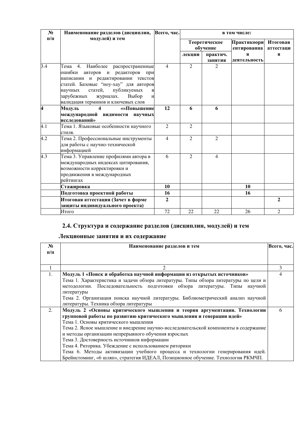| $N_2$     | Наименование разделов (дисциплин,                                                                                                                                                                                                                       | Всего, час.    | в том числе:              |                |                            |                       |
|-----------|---------------------------------------------------------------------------------------------------------------------------------------------------------------------------------------------------------------------------------------------------------|----------------|---------------------------|----------------|----------------------------|-----------------------|
| $\Pi/\Pi$ | модулей) и тем                                                                                                                                                                                                                                          |                | Теоретическое<br>обучение |                | Практикоори<br>ентированна | Итоговая<br>аттестаци |
|           |                                                                                                                                                                                                                                                         |                | лекции                    | практич.       | Я                          | Я                     |
|           |                                                                                                                                                                                                                                                         |                |                           | занятия        | деятельность               |                       |
| 3.4       | 4. Наиболее распространенные<br>Тема<br>ошибки авторов и редакторов<br>при<br>написании и редактировании текстов<br>статей. Базовые "ноу-хау" для авторов<br>статей,<br>публикуемых<br>научных<br>$\, {\bf B}$<br>зарубежных<br>журналах.<br>Выбор<br>И | 4              | $\overline{2}$            | $\overline{2}$ |                            |                       |
| 4         | валидация терминов и ключевых слов<br>Модуль<br>$\overline{\mathbf{4}}$<br>««Повышение                                                                                                                                                                  | 12             | 6                         | 6              |                            |                       |
|           | международной видимости научных                                                                                                                                                                                                                         |                |                           |                |                            |                       |
|           | исследований»                                                                                                                                                                                                                                           |                |                           |                |                            |                       |
| 4.1       | Тема 1. Языковые особенности научного                                                                                                                                                                                                                   | $\overline{2}$ | $\overline{2}$            |                |                            |                       |
|           | стиля.                                                                                                                                                                                                                                                  |                |                           |                |                            |                       |
| 4.2       | Тема 2. Профессиональные инструменты<br>для работы с научно-технической<br>информацией                                                                                                                                                                  | $\overline{4}$ | $\overline{2}$            | $\overline{2}$ |                            |                       |
| 4.3       | Тема 3. Управление профилями автора в<br>международных индексах цитирования,<br>возможности корректировки и<br>продвижения в международных<br>рейтингах                                                                                                 | 6              | $\overline{2}$            | $\overline{4}$ |                            |                       |
|           | Стажировка                                                                                                                                                                                                                                              | 10             |                           |                | 10                         |                       |
|           | Подготовка проектной работы                                                                                                                                                                                                                             | 16             |                           |                | 16                         |                       |
|           | Итоговая аттестация (Зачет в форме                                                                                                                                                                                                                      | $\overline{2}$ |                           |                |                            | 2                     |
|           | защиты индивидуального проекта)                                                                                                                                                                                                                         |                |                           |                |                            |                       |
|           | Итого                                                                                                                                                                                                                                                   | 72             | 22                        | 22             | 26                         | $\overline{2}$        |

# 2.4. Структура и содержание разделов (дисциплин, модулей) и тем

# **Лекционные занятия и их содержание**

| $N_2$     | Наименование разделов и тем                                                         | Всего, час.    |
|-----------|-------------------------------------------------------------------------------------|----------------|
| $\Pi/\Pi$ |                                                                                     |                |
|           |                                                                                     |                |
|           |                                                                                     | 3              |
| 1.        | Модуль 1 «Поиск и обработка научной информации из открытых источников»              | $\overline{4}$ |
|           | Тема 1. Характеристика и задачи обзора литературы. Типы обзора литературы по цели и |                |
|           | методологии. Последовательность подготовки обзора литературы. Типы научной          |                |
|           | литературы                                                                          |                |
|           | Тема 2. Организация поиска научной литературы. Библиометрический анализ научной     |                |
|           | литературы. Техника обзора литературы                                               |                |
| 2.        | Модуль 2 «Основы критического мышления и теория аргументации. Технологии            | 6              |
|           | групповой работы по развитию критического мышления и генерации идей»                |                |
|           | Тема 1. Основы критического мышления                                                |                |
|           | Тема 2. Ясное мышление и внедрение научно-исследовательской компоненты в содержание |                |
|           | и методы организации непрерывного обучения взрослых                                 |                |
|           | Тема 3. Достоверность источников информации                                         |                |
|           | Тема 4. Риторика. Убеждение с использованием риторики                               |                |
|           | Тема 6. Методы активизации учебного процесса и технологии генерирования идей.       |                |
|           | Брейнстоминг, «6 шляп», стратегия ИДЕАЛ, Позиционное обучение. Технология РКМЧП.    |                |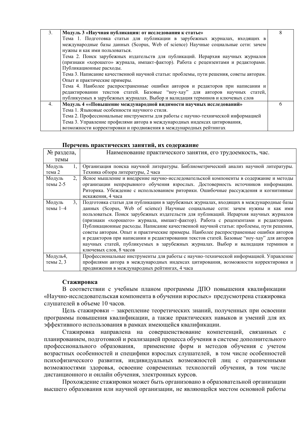| 3. | Модуль 3 «Научная публикация: от исследования к статье»                                |  |
|----|----------------------------------------------------------------------------------------|--|
|    | Тема 1. Подготовка статьи для публикации в зарубежных журналах, входящих в             |  |
|    | международные базы данных (Scopus, Web of science) Научные социальные сети: зачем      |  |
|    | нужны и как ими пользоваться.                                                          |  |
|    | Тема 2. Поиск зарубежных издательств для публикаций. Иерархия научных журналов         |  |
|    | (признаки «хорошего» журнала, импакт-фактор). Работа с рецензентами и редакторами.     |  |
|    | Публикационные расходы.                                                                |  |
|    | Тема 3. Написание качественной научной статьи: проблемы, пути решения, советы авторам. |  |
|    | Опыт и практические примеры.                                                           |  |
|    | Тема 4. Наиболее распространенные ошибки авторов и редакторов при написании и          |  |
|    | редактировании текстов статей. Базовые "ноу-хау" для авторов научных статей,           |  |
|    | публикуемых в зарубежных журналах. Выбор и валидация терминов и ключевых слов          |  |
| 4. | Модуль 4 ««Повышение международной видимости научных исследований»                     |  |
|    | Тема 1. Языковые особенности научного стиля.                                           |  |
|    | Тема 2. Профессиональные инструменты для работы с научно-технической информацией       |  |
|    | Тема 3. Управление профилями автора в международных индексах цитирования,              |  |
|    | возможности корректировки и продвижения в международных рейтингах                      |  |

#### Перечень практических занятий, их содержание

| № раздела, |    | Наименование практического занятия, его трудоемкость, час.                                |
|------------|----|-------------------------------------------------------------------------------------------|
| темы       |    |                                                                                           |
| Модуль     | 1. | Организация поиска научной литературы. Библиометрический анализ научной литературы.       |
| тема 2     |    | Техника обзора литературы, 2 часа                                                         |
| Модуль     | 2. | Ясное мышление и внедрение научно-исследовательской компоненты в содержание и методы      |
| темы 2-5   |    | организации непрерывного обучения взрослых. Достоверность источников информации.          |
|            |    | Риторика. Убеждение с использованием риторики. Ошибочные рассуждения и когнитивные        |
|            |    | искажения, 4 часа                                                                         |
| Модуль     | 3. | Подготовка статьи для публикации в зарубежных журналах, входящих в международные базы     |
| темы $1-4$ |    | данных (Scopus, Web of science) Научные социальные сети: зачем нужны и как ими            |
|            |    | пользоваться. Поиск зарубежных издательств для публикаций. Иерархия научных журналов      |
|            |    | (признаки «хорошего» журнала, импакт-фактор). Работа с рецензентами и редакторами.        |
|            |    | Публикационные расходы. Написание качественной научной статьи: проблемы, пути решения,    |
|            |    | советы авторам. Опыт и практические примеры. Наиболее распространенные ошибки авторов     |
|            |    | и редакторов при написании и редактировании текстов статей. Базовые "ноу-хау" для авторов |
|            |    | научных статей, публикуемых в зарубежных журналах. Выбор и валидация терминов и           |
|            |    | ключевых слов, 8 часов                                                                    |
| Модуль4,   |    | Профессиональные инструменты для работы с научно-технической информацией. Управление      |
| темы 2, 3  |    | профилями автора в международных индексах цитирования, возможности корректировки и        |
|            |    | продвижения в международных рейтингах, 4 часа                                             |

#### **Стажировка**

В соответствии с учебным планом программы ДПО повышения квалификации «Научно-исследовательская компонента в обучении взрослых» предусмотрена стажировка слушателей в объеме 10 часов.

Цель стажировки - закрепление теоретических знаний, полученных при освоении программы повышения квалификации, а также практических навыков и умений для их эффективного использования в рамках имеющейся квалификации.

Стажировка направлена на совершенствование компетенций, связанных с планированием, подготовкой и реализацией процесса обучения в системе дополнительного профессионального образования, применение форм и методов обучения с учетом возрастных особенностей и специфики взрослых слушателей, в том числе особенностей психофизического развития, индивидуальных возможностей лиц с ограниченными возможностями здоровья, освоение современных технологий обучения, в том числе дистанционного и онлайн обучения, электронных курсов.

Прохождение стажировки может быть организовано в образовательной организации высшего образования или научной организации, не являющейся местом основной работы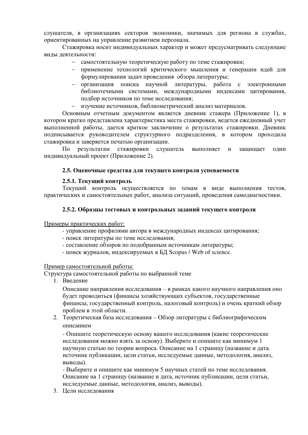слушателя, в организациях секторов экономики, значимых для региона в службах, ориентированных на управление развитием персонала.

Стажировка носит индивидуальных характер и может предусматривать следующие вилы деятельности:

- самостоятельную теоретическую работу по теме стажировки;
- применение технологий критического мышления и генерации идей для формулирования задач проведения обзора литературы;
- организация поиска научной литературы, работа с электронными библиотечными системами, международными индексами цитирования, подбор источников по теме исследования;
- изучение источников, библиометрический анализ материалов.

Основным отчетным документом является дневник стажера (Приложение 1), в котором кратко представлена характеристика места стажировки, ведется ежедневный учет выполненной работы, дается краткое заключение о результатах стажировки. Дневник подписывается руководителем структурного подразделения, в котором проходила стажировка и заверяется печатью организации.

По результатам стажировки слушатель выполняет и защищает один индивидуальный проект (Приложение 2).

#### 2.5. Оценочные средства для текущего контроля успеваемости

#### 2.5.1. Текущий контроль

Текущий контроль осуществляется по темам в виде выполнения тестов, практических и самостоятельных работ, анализа ситуаций, проведения самодиагностики.

#### 2.5.2. Образцы тестовых и контрольных заданий текущего контроля

Примеры практических работ:

- управление профилями автора в международных индексах цитирования;
- поиск литературы по теме исследования;
- составление обзоров по подобранным источникам литературы;
- поиск журналов, индексируемых в БД Scopus / Web of science.

#### Пример самостоятельной работы:

Структура самостоятельной работы по выбранной теме

1. Ввеление

Описание направления исследования – в рамках какого научного направления оно будет проводиться (финансы хозяйствующих субъектов, государственные финансы, государственный контроль, налоговый контроль) и очень краткий обзор проблем в этой области.

2. Теоретическая база исследования – Обзор литературы с библиографическим описанием

- Опишите теоретическую основу вашего исследования (какие теоретические исследования можно взять за основу). Выберите и опишите как минимум 1 научную статью по теории вопроса. Описание на 1 страницу (название и дата. источник публикации, цели статьи, исследуемые данные, методология, анализ, выволы).

- Выберите и опишите как минимум 5 научных статей по теме исследования. Описание на 1 страницу (название и дата, источник публикации, цели статьи, исследуемые данные, методология, анализ, выводы).

3. Цели исследования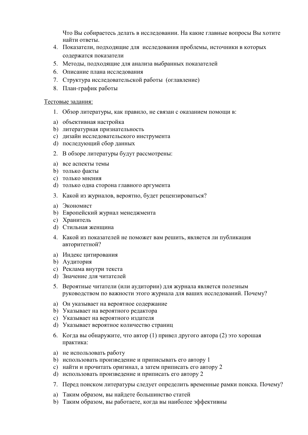Что Вы собираетесь делать в исследовании. На какие главные вопросы Вы хотите найти ответы.

- 4. Показатели, подходящие для исследования проблемы, источники в которых содержатся показатели
- 5. Методы, подходящие для анализа выбранных показателей
- 6. Описание плана исследования
- 7. Структура исследовательской работы (оглавление)
- 8. План-график работы

#### Тестовые задания:

- 1. Обзор литературы, как правило, не связан с оказанием помощи в:
- а) объективная настройка
- b) литературная признательность
- c) дизайн исследовательского инструмента
- d) последующий сбор данных
- 2. В обзоре литературы будут рассмотрены:
- a) BCe aCTTEKTH TEMH
- b) только факты
- c) только мнения
- d) только одна сторона главного аргумента
- 3. Какой из журналов, вероятно, будет рецензироваться?
- a) Экономист
- b) Европейский журнал менеджмента
- c) Хранитель
- d) Стильная женщина
- 4. Какой из показателей не поможет вам решить, является ли публикация авторитетной?
- а) Индекс цитирования
- b) Аудитория
- c) Реклама внутри текста
- d) Значение для читателей
- 5. Вероятные читатели (или аудитории) для журнала является полезным руководством по важности этого журнала для ваших исследований. Почему?
- а) Он указывает на вероятное содержание
- b) Указывает на вероятного редактора
- с) Указывает на вероятного издателя
- d) Указывает вероятное количество страниц
- 6. Когда вы обнаружите, что автор (1) привел другого автора (2) это хорошая практика:
- а) не использовать работу
- b) использовать произведение и приписывать его автору 1
- с) найти и прочитать оригинал, а затем приписать его автору 2
- d) использовать произведение и приписать его автору 2
- 7. Перед поиском литературы следует определить временные рамки поиска. Почему?
- а) Таким образом, вы найдете большинство статей
- b) Таким образом, вы работаете, когда вы наиболее эффективны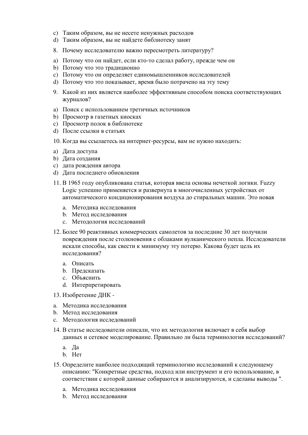- c) Таким образом, вы не несете ненужных расходов
- d) Таким образом, вы не найдете библиотеку занят
- 8. Почему исследователю важно пересмотреть литературу?
- a) Потому что он найлет, если кто-то слелал работу, прежде чем он
- b) Потому что это традиционно
- с) Потому что он определяет единомышленников исследователей
- d) Потому что это показывает, время было потрачено на эту тему
- 9. Какой из них является наиболее эффективным способом поиска соответствующих журналов?
- а) Поиск с использованием третичных источников
- b) Просмотр в газетных киосках
- с) Просмотр полок в библиотеке
- d) После ссылки в статьях
- 10. Когда вы ссылаетесь на интернет-ресурсы, вам не нужно находить:
- a) Дата доступа
- b) Дата создания
- c) дата рождения автора
- d) Дата последнего обновления
- 11. В 1965 году опубликована статья, которая ввела основы нечеткой логики. Fuzzy Logic успешно применяется и развернута в многочисленных устройствах от автоматического кондиционирования воздуха до стиральных машин. Это новая
	- а. Метолика исслелования
	- **b.** Метод исследования
	- с. Методология исследований
- 12. Более 90 реактивных коммерческих самолетов за последние 30 лет получили повреждения после столкновения с облаками вулканического пепла. Исследователи искали способы, как свести к минимуму эту потерю. Какова будет цель их исслелования?
	- а. Описать
	- b. Предсказать
	- с. Объяснить
	- d. Интерпретировать
- 13. Изобретение ДНК -
- а. Методика исследования
- b. Метод исследования
- с. Методология исследований
- 14. В статье исследователи описали, что их методология включает в себя выбор данных и сетевое моделирование. Правильно ли была терминология исследований?
	- a.  $\Pi$ a
	- b. Her
- 15. Определите наиболее подходящий терминологию исследований к следующему описанию: "Конкретные средства, подход или инструмент и его использование, в соответствии с которой данные собираются и анализируются, и сделаны выводы ".
	- а. Методика исследования
	- **b.** Метод исследования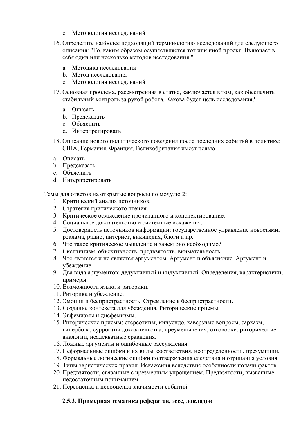- с. Методология исследований
- 16. Определите наиболее подходящий терминологию исследований для следующего описания: "То, каким образом осуществляется тот или иной проект. Включает в себя один или несколько метолов исследования".
	- а. Методика исследования
	- **b.** Метод исследования
	- с. Методология исследований
- 17. Основная проблема, рассмотренная в статье, заключается в том, как обеспечить стабильный контроль за рукой робота. Какова будет цель исследования?
	- a. Описать
	- **b.** Предсказать
	- с. Объяснить
	- d. Интерпретировать
- 18. Описание нового политического повеления после послелних событий в политике: США, Германия, Франция, Великобритания имеет целью
- а. Описать
- **b**. Предсказать
- с. Объяснить
- d. Интерпретировать

Темы для ответов на открытые вопросы по модулю 2:

- 1. Критический анализ источников.
- 2. Стратегия критического чтения.
- 3. Критическое осмысление прочитанного и конспектирование.
- 4. Социальное доказательство и системные искажения.
- 5. Достоверность источников информации: государственное управление новостями, реклама, радио, интернет, википедия, блоги и пр.
- 6. Что такое критическое мышление и зачем оно необходимо?
- 7. Скептицизм, объективность, предвзятость, внимательность.
- 8. Что является и не является аргументом. Аргумент и объяснение. Аргумент и убеждение.
- 9. Два вида аргументов: дедуктивный и индуктивный. Определения, характеристики, примеры.
- 10. Возможности языка и риторики.
- 11. Риторика и убеждение.
- 12. Эмоции и беспристрастность. Стремление к беспристрастности.
- 13. Создание контекста для убеждения. Риторические приемы.
- 14. Эвфемизмы и дисфемизмы.
- 15. Риторические приемы: стереотипы, иннуендо, каверзные вопросы, сарказм, гипербола, суррогаты доказательства, преуменьшения, отговорки, риторические аналогии, неадекватные сравнения.
- 16. Ложные аргументы и ошибочные рассуждения.
- 17. Неформальные ошибки и их виды: соответствия, неопределенности, презумпции.
- 18. Формальные логические ошибки подтверждения следствия и отрицания условия.
- 19. Типы эвристических правил. Искажения вследствие особенности подачи фактов.
- 20. Предвзятости, связанные с чрезмерным упрощением. Предвзятости, вызванные недостаточным пониманием.
- 21. Переоценка и недооценка значимости событий

## 2.5.3. Примерная тематика рефератов, эссе, докладов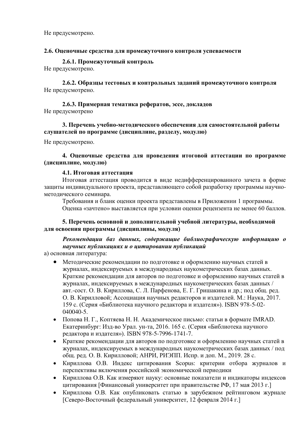Не предусмотрено.

#### 2.6. Оценочные средства для промежуточного контроля успеваемости

2.6.1. Промежуточный контроль

Не предусмотрено.

### 2.6.2. Образцы тестовых и контрольных заданий промежуточного контроля Не предусмотрено.

### 2.6.3. Примерная тематика рефератов, эссе, докладов Не предусмотрено

## 3. Перечень учебно-методического обеспечения для самостоятельной работы слушателей по программе (дисциплине, разделу, модулю)

Не предусмотрено.

### 4. Оценочные средства для проведения итоговой аттестации по программе (дисциплине, модулю)

#### **4.1. Итоговая аттестация**

Итоговая аттестация проводится в виде недифференцированного зачета в форме защиты индивидуального проекта, представляющего собой разработку программы научнометолического семинара.

Требования и бланк оценки проекта представлены в Приложении 1 программы. Оценка «зачтено» выставляется при условии оценки рецензента не менее 60 баллов.

### 5. Перечень основной и дополнительной учебной литературы, необходимой **ДЛЯ ОСВОЕНИЯ ПРОГРАММЫ (ДИСЦИПЛИНЫ, МОДУЛЯ)**

## Рекомендации баз данных, содержащие библиографическую информацию о  $\mu$ научных публикациях и о иитировании публикаций

а) основная литература:

- Методические рекомендации по подготовке и оформлению научных статей в журналах, индексируемых в международных наукометрических базах данных. Краткие рекомендации для авторов по подготовке и оформлению научных статей в журналах, индексируемых в международных наукометрических базах данных / авт.-сост. О. В. Кириллова, С. Л. Парфенова, Е. Г. Гришакина и др.; под общ. ред. О. В. Кирилловой; Ассоциация научных редакторов и издателей. М.: Наука, 2017. 159 с. (Серия «Библиотека научного редактора и издателя»). ISBN 978-5-02-040040-5.
- Попова Н. Г., Коптяева Н. Н. Академическое письмо: статьи в формате IMRAD. Екатеринбург: Изд-во Урал. ун-та, 2016. 165 с. (Серия «Библиотека научного редактора и издателя»). ISBN 978-5-7996-1741-7.
- Краткие рекомендации для авторов по подготовке и оформлению научных статей в журналах, индексируемых в международных наукометрических базах данных / под общ. ред. О. В. Кирилловой; АНРИ, РИЭПП. Испр. и доп. М., 2019. 28 с.
- Кириллова О.В. Индекс цитирования Scopus: критерии отбора журналов и перспективы включения российской экономической периодики
- Кириллова О.В. Как измеряют науку: основные показатели и индикаторы индексов цитирования [Финансовый университет при правительстве РФ, 17 мая 2013 г.]
- Кириллова О.В. Как опубликовать статью в зарубежном рейтинговом журнале [Северо-Восточный федеральный университет, 12 февраля 2014 г.]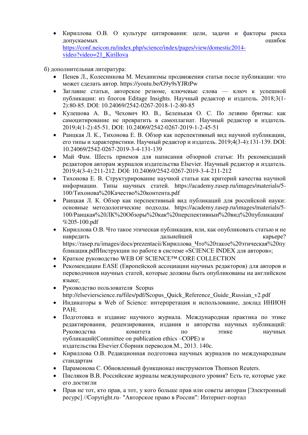• Кириллова О.В. О культуре цитирования: цели, задачи и факторы риска допускаемых этого не продавать не продавительно на температивно не продавать не продавать не продавать день не [https://conf.neicon.ru/index.php/science/index/pages/view/domestic2014](https://conf.neicon.ru/index.php/science/index/pages/view/domestic2014-video?video=21_Kirillova) [video?video=21\\_Kirillova](https://conf.neicon.ru/index.php/science/index/pages/view/domestic2014-video?video=21_Kirillova)

б) дополнительная литература:

- Пенев Л., Колесникова М. Механизмы продвижения статьи после публикации: что может слелать автор. https://youtu.be/G9y9sYJRtPw
- Заглавие статьи, авторское резюме, ключевые слова ключ к успешной публикации: из блогов Editage Insights. Научный редактор и издатель. 2018;3(1-2):80-85. DOI: 10.24069/2542-0267-2018-1-2-80-85
- Кулешова А. В., Чехович Ю. В., Беленькая О. С. По лезвию бритвы: как самоцитирование не превратить в самоплагиат. Научный редактор и издатель. 2019;4(1-2):45-51. DOI: 10.24069/2542-0267-2019-1-2-45-51
- Раицкая Л. К., Тихонова Е. В. Обзор как перспективный вид научной публикации, его типы и характеристики. Научный редактор и издатель. 2019;4(3-4):131-139. DOI: 10.24069/2542-0267-2019-3-4-131-139
- Май Фам. Шесть приемов для написания обзорной статьи: Из рекомендаций редакторов авторам журналов издательства Elsevier. Научный редактор и издатель. 2019;4(3-4):211-212. DOI: 10.24069/2542-0267-2019-3-4-211-212
- Тихонова Е. В. Структурирование научной статьи как критерий качества научной информации. Типы научных статей. [https://academy.rasep.ru/images/materials/5-](https://academy.rasep.ru/images/materials/5-100/Тихонова%20Качество%20контента.pdf) 100/Тихонова%20Качество%20контента.pdf
- Раицкая Л. К. Обзор как перспективный вид публикаций для российской науки: основные методологические подходы. https://academy.rasep.ru/images/materials/5-100/Раицкая%20ЛК%20Обзоры%20как%20перспективный%20вид%20публикаций %205-100.pdf
- Кириллова О.В. Что такое этическая публикация, или, как опубликовать статью и не навредить с полной дальнейшей с тематических карьере? https://rasep.ru/images/docs/prezentacii/Кириллова Что%20такое%20этическая%20пу бликация.pdfИнструкции по работе в системе «SCIENCE INDEX для авторов»;
- Краткое руководство WEB OF SCIENCE<sup>TM</sup> CORE COLLECTION
- Рекомендации EASE (Европейской ассоциации научных редакторов) для авторов и переводчиков научных статей, которые должны быть опубликованы на английском языке:
- Руководство пользователя Scopus [http://elsevierscience.ru/files/pdf/Scopus\\_Quick\\_Reference\\_Guide\\_Russian\\_v2.pdf](http://elsevierscience.ru/files/pdf/Scopus_Quick_Reference_Guide_Russian_v2.pdf)
- Индикаторы в Web of Science: интерпретация и использование, доклад ИНИОН PAH;
- Подготовка и издание научного журнала. Международная практика по этике редактирования, рецензирования, издания и авторства научных публикаций: Руководства комитета по этике научных публикаций(Committee on publication ethics –COPE) и издательства Elsevier.Сборник переводов. М., 2013. 140с.
- Кириллова О.В. Релакционная полготовка научных журналов по международным стандартам
- Парамонова С. Обновленный функционал инструментов Thomson Reuters.
- Писляков В.В. Российские журналы международного уровня? Есть те, которые уже его лостигли
- Прав не тот, кто прав, а тот, у кого больше прав или советы авторам [Электронный ресурс] //Copyright.ru- "Авторское право в России": Интернет-портал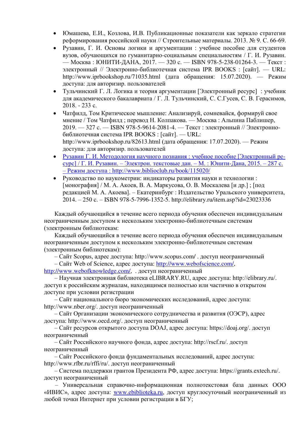- Юмашева, Е.И., Козлова, И.В. Публикационные показатели как зеркало стратегии реформирования российской науки // Строительные материалы. 2013. № 9. С. 66-69.
- Рузавин, Г. И. Основы логики и аргументации : учебное пособие для студентов вузов, обучающихся по гуманитарно-социальным специальностям / Г. И. Рузавин. — Москва : ЮНИТИ-ДАНА, 2017. — 320 с. — ISBN 978-5-238-01264-3. — Текст : электронный // Электронно-библиотечная система IPR BOOKS : [сайт]. — URL: http://www.iprbookshop.ru/71035.html (дата обращения: 15.07.2020). — Режим доступа: для авторизир. пользователей
- Тульчинский Г. Л. Логика и теория аргументации [Электронный ресурс] : учебник для академического бакалавриата / Г. Л. Тульчинский, С. С.Гусев, С. В. Герасимов,  $2018. - 233$  c.
- Чатфилд, Том Критическое мышление: Анализируй, сомневайся, формируй свое мнение / Том Чатфилд; перевод Н. Колпакова. — Москва: Альпина Паблишер, 2019. — 327 с. — ISBN 978-5-9614-2081-4. — Текст : электронный // Электроннобиблиотечная система IPR BOOKS : [сайт]. - URL: http://www.iprbookshop.ru/82613.html (дата обращения: 17.07.2020). — Режим доступа: для авторизир. пользователей
- Рузавин Г. И. Методология научного познания : учебное пособие [Электронный ресурс] / Г. И. Рузавин. – Электрон. текстовые дан. – М. : Юнити-Дана, 2015. – 287 с. – Режим доступа: http://www.biblioclub.ru/book/115020/
- Руководство по наукометрии: индикаторы развития науки и технологии:  $[$ монография] / М. А. Акоев, В. А. Маркусова, О. В. Москалева  $[$ и др.];  $[$ под редакцией М. А. Акоева]. – Екатеринбург : Издательство Уральского университета, 2014. – 250 ɫ. – [ISBN 978-5-7996-1352-5. http://elibrary.ru/item.asp?id=23023336](http://elibrary.ru/item.asp?id=23023336)

Каждый обучающийся в течение всего периода обучения обеспечен индивидуальным неограниченным доступом к нескольким электронно-библиотечным системам (электронным библиотекам:

Кажлый обучающийся в течение всего периола обучения обеспечен инливилуальным неограниченным доступом к нескольким электронно-библиотечным системам (электронным библиотекам):

– Сайт Scopus, адрес доступа: http://www.scopus.com/ . доступ неограниченный

– Сайт Web of Science, адрес доступа: [http://www.webofscience.com/,](http://www.webofscience.com/)

[http://www.webofknowledge.com/,](http://www.webofknowledge.com/) . доступ неограниченный

– Научная электронная библиотека eLIBRARY.RU, адрес доступа: http://elibrary.ru/. доступ к российским журналам, находящимся полностью или частично в открытом доступе при условии регистрации

– Сайт национального бюро экономических исследований, адрес доступа: http://www.nber.org/. доступ неограниченный

– Сайт Организации экономического сотрудничества и развития (ОЭСР), адрес доступа: http://www.oecd.org/. доступ неограниченный

 $-$ Сайт ресурсов открытого доступа DOAJ, адрес доступа: https://doaj.org/. доступ неограниченный

– Сайт Российского научного фонда, адрес доступа: http://rscf.ru/. доступ неограниченный

– Сайт Российского фонда фундаментальных исследований, адрес доступа: http://www.rfbr.ru/rffi/ru/. доступ неограниченный

 $-$  Система поддержки грантов Президента РФ, адрес доступа: https://grants.extech.ru/. доступ неограниченный

– Универсальная справочно-информационная полнотекстовая база данных ООО «ИВИС», адрес доступа: [www.ebiblioteka.ru](http://www.ebiblioteka.ru/), доступ круглосуточный неограниченный из любой точки Интернет при условии регистрации в БГУ;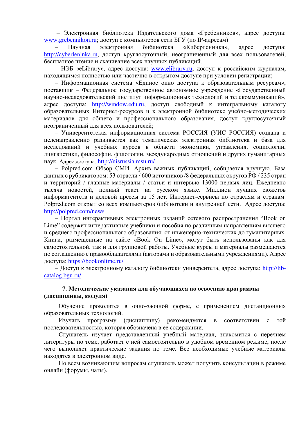– Электронная библиотека Издательского дома «Гребенников», адрес доступа: [www.grebennikon.ru](file:///C:/Users/sinevana/AppData/Local/Microsoft/Windows/INetCache/vvb/AppData/Local/Microsoft/Windows/Temporary%20Internet%20Files/Content.Outlook/RJ5D2R18/www.grebennikon.ru); доступ с компьютеров сети БГУ (по IP-адресам)

Научная электронная библиотека «Киберленинка», адрес доступа: [http://cyberleninka.ru](http://cyberleninka.ru/), доступ круглосуточный, неограниченный для всех пользователей, бесплатное чтение и скачивание всех научных публикаций.

– НЭБ «eLibrary», адрес доступа: [www.elibrary.ru](http://www.elibrary.ru/), доступ к российским журналам, находящимся полностью или частично в открытом доступе при условии регистрации;

– Информационная система «Единое окно доступа к образовательным ресурсам», поставщик – Федеральное государственное автономное учреждение «Государственный научно-исследовательский институт информационных технологий и телекоммуникаций», адрес доступа: [http://window.edu.ru](http://window.edu.ru/), доступ свободный к интегральному каталогу образовательных Интернет-ресурсов и к электронной библиотеке учебно-методических материалов для общего и профессионального образования, доступ круглосуточный неограниченный для всех пользователей;

– Университетская информационная система РОССИЯ (УИС РОССИЯ) создана и целенаправленно развивается как тематическая электронная библиотека и база для исследований и учебных курсов в области экономики, управления, социологии, лингвистики, философии, филологии, международных отношений и других гуманитарных наук. Адрес доступа: <http://uisrussia.msu.ru/>

– Polpred.com Обзор СМИ. Архив важных публикаций, собирается вручную. База данных с рубрикатором: 53 отрасли / 600 источников /8 федеральных округов РФ / 235 стран и территорий / главные материалы / статьи и интервью 13000 первых лиц. Ежедневно тысяча новостей, полный текст на русском языке. Миллион лучших сюжетов информагентств и деловой прессы за 15 лет. Интернет-сервисы по отраслям и странам. Polpred.com открыт со всех компьютеров библиотеки и внутренней сети. Адрес доступа: <http://polpred.com/news>

– Портал интерактивных электронных изданий сетевого распространения "Book on Lime" содержит интерактивные учебники и пособия по различным направлениям высшего и среднего профессионального образования: от инженерно-технических до гуманитарных. Книги, размещенные на сайте «Book On Lime», могут быть использованы как для самостоятельной, так и для групповой работы. Учебные курсы и материалы размещаются по соглашению с правообладателями (авторами и образовательными учреждениями). Адрес доступа: https://bookonlime.ru/

– Доступ к электронному каталогу библиотеки университета, адрес доступа: [http://lib](http://lib-catalog.bgu.ru/)[catalog.bgu.ru/](http://lib-catalog.bgu.ru/) 

### 7. Методические указания для обучающихся по освоению программы (дисциплины, модуля)

Обучение проводится в очно-заочной форме, с применением дистанционных образовательных технологий.

Изучать программу (дисциплину) рекомендуется в соответствии с той последовательностью, которая обозначена в ее содержании.

Слушатель изучает представленный учебный материал, знакомится с перечнем литературы по теме, работает с ней самостоятельно в удобном временном режиме, после чего выполняет практические задания по теме. Все необходимые учебные материалы находятся в электронном виде.

По всем возникающим вопросам слушатель может получить консультации в режиме онлайн (форумы, чаты).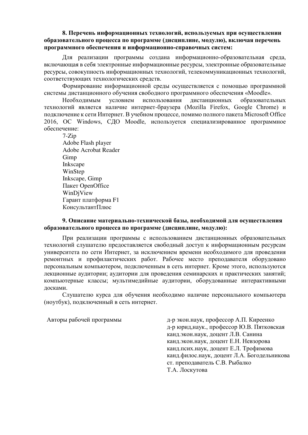### 8. Перечень информационных технологий, используемых при осуществлении образовательного процесса по программе (дисциплине, модулю), включая перечень программного обеспечения и информационно-справочных систем:

Для реализации программы создана информационно-образовательная среда, включающая в себя электронные информационные ресурсы, электронные образовательные ресурсы, совокупность информационных технологий, телекоммуникационных технологий, соответствующих технологических средств.

Формирование информационной среды осуществляется с помощью программной системы дистанционного обучения свободного программного обеспечения «Moodle».

Необходимым условием использования дистанционных образовательных технологий является наличие интернет-браузера (Mozilla Firefox, Google Chrome) и подключение к сети Интернет. В учебном процессе, помимо полного пакета Microsoft Office 2016, OC Windows, СДО Moodle, используется специализированное программное обеспечение:

7-Zip Adobe Flash player Adobe Acrobat Reader Gimp Inkscape WinStep Inkscape, Gimp Пакет OpenOffice WinDjView Гарант платформа F1 КонсультантПлюс

#### 9. Описание материально-технической базы, необходимой для осуществления **образовательного процесса по программе (дисциплине, модулю):**

При реализации программы с использованием дистанционных образовательных технологий слушателю предоставляется свободный доступ к информационным ресурсам университета по сети Интернет, за исключением времени необходимого для проведения ремонтных и профилактических работ. Рабочее место преполавателя оборуловано персональным компьютером, подключенным в сеть интернет. Кроме этого, используются лекционные аудитории; аудитории для проведения семинарских и практических занятий; компьютерные классы; мультимедийные аудитории, оборудованные интерактивными лосками.

Слушателю курса для обучения необходимо наличие персонального компьютера (ноутбук), подключенный в сеть интернет.

Авторы рабочей программы<br> $\mu$ -р экон.наук, профессор А.П. Киреенко д-р юрид, наук., профессор Ю.В. Пятковская канд.экон.наук, доцент Л.В. Санина канд.экон.наук, доцент Е.Н. Невзорова канд.псих.наук, доцент Е.Л. Трофимова канд.филос.наук, доцент Л.А. Богодельникова ст. преподаватель С.В. Рыбалко Т.А. Лоскутова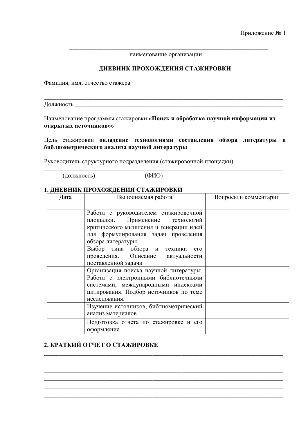наименование организации

\_\_\_\_\_\_\_\_\_\_\_\_\_\_\_\_\_\_\_\_\_\_\_\_\_\_\_\_\_\_\_\_\_\_\_\_\_\_\_\_\_\_\_\_\_\_\_\_\_\_\_\_\_\_\_\_\_\_\_\_\_\_\_\_

#### **ДНЕВНИК ПРОХОЖДЕНИЯ СТАЖИРОВКИ**

Фамилия, имя, отчество стажера

Должность

Наименование программы стажировки «Поиск и обработка научной информации из **открытых источников»»** 

 $\mathcal{L}_\text{max} = \mathcal{L}_\text{max} = \mathcal{L}_\text{max} = \mathcal{L}_\text{max} = \mathcal{L}_\text{max} = \mathcal{L}_\text{max} = \mathcal{L}_\text{max} = \mathcal{L}_\text{max} = \mathcal{L}_\text{max} = \mathcal{L}_\text{max} = \mathcal{L}_\text{max} = \mathcal{L}_\text{max} = \mathcal{L}_\text{max} = \mathcal{L}_\text{max} = \mathcal{L}_\text{max} = \mathcal{L}_\text{max} = \mathcal{L}_\text{max} = \mathcal{L}_\text{max} = \mathcal{$ 

Цель стажировки **овладение технологиями составления обзора литературы и** библиометрического анализа научной литературы

\_\_\_\_\_\_\_\_\_\_\_\_\_\_\_\_\_\_\_\_\_\_\_\_\_\_\_\_\_\_\_\_\_\_\_\_\_\_\_\_\_\_\_\_\_\_\_\_\_\_\_\_\_\_\_\_\_\_\_\_\_\_\_\_\_\_\_\_\_\_\_\_\_\_\_\_\_

Руководитель структурного подразделения (стажировочной площадки)

 $(LOIMHOCTE)$   $(ФMO)$ 

### 1. ДНЕВНИК ПРОХОЖДЕНИЯ СТАЖИРОВКИ

| Дата | Выполняемая работа                          | Вопросы и комментарии |
|------|---------------------------------------------|-----------------------|
|      |                                             |                       |
|      | Работа с руководителем стажировочной        |                       |
|      | площадки. Применение технологий             |                       |
|      | критического мышления и генерации идей      |                       |
|      | для формулирования задач проведения         |                       |
|      | обзора литературы                           |                       |
|      | Выбор типа обзора и техники<br>$e_{\Gamma}$ |                       |
|      | Описание<br>проведения.<br>актуальности     |                       |
|      | поставленной задачи                         |                       |
|      | Организация поиска научной литературы.      |                       |
|      | Работа с электронными библиотечными         |                       |
|      | системами, международными индексами         |                       |
|      | цитирования. Подбор источников по теме      |                       |
|      | исследования.                               |                       |
|      | Изучение источников, библиометрический      |                       |
|      | анализ материалов                           |                       |
|      | Подготовка отчета по стажировке и его       |                       |
|      | оформление                                  |                       |

\_\_\_\_\_\_\_\_\_\_\_\_\_\_\_\_\_\_\_\_\_\_\_\_\_\_\_\_\_\_\_\_\_\_\_\_\_\_\_\_\_\_\_\_\_\_\_\_\_\_\_\_\_\_\_\_\_\_\_\_\_\_\_\_\_\_ \_\_\_\_\_\_\_\_\_\_\_\_\_\_\_\_\_\_\_\_\_\_\_\_\_\_\_\_\_\_\_\_\_\_\_\_\_\_\_\_\_\_\_\_\_\_\_\_\_\_\_\_\_\_\_\_\_\_\_\_\_\_\_\_\_\_ \_\_\_\_\_\_\_\_\_\_\_\_\_\_\_\_\_\_\_\_\_\_\_\_\_\_\_\_\_\_\_\_\_\_\_\_\_\_\_\_\_\_\_\_\_\_\_\_\_\_\_\_\_\_\_\_\_\_\_\_\_\_\_\_\_\_ \_\_\_\_\_\_\_\_\_\_\_\_\_\_\_\_\_\_\_\_\_\_\_\_\_\_\_\_\_\_\_\_\_\_\_\_\_\_\_\_\_\_\_\_\_\_\_\_\_\_\_\_\_\_\_\_\_\_\_\_\_\_\_\_\_\_ \_\_\_\_\_\_\_\_\_\_\_\_\_\_\_\_\_\_\_\_\_\_\_\_\_\_\_\_\_\_\_\_\_\_\_\_\_\_\_\_\_\_\_\_\_\_\_\_\_\_\_\_\_\_\_\_\_\_\_\_\_\_\_\_\_\_ \_\_\_\_\_\_\_\_\_\_\_\_\_\_\_\_\_\_\_\_\_\_\_\_\_\_\_\_\_\_\_\_\_\_\_\_\_\_\_\_\_\_\_\_\_\_\_\_\_\_\_\_\_\_\_\_\_\_\_\_\_\_\_\_\_\_

## **2. КРАТКИЙ ОТЧЕТ О СТАЖИРОВКЕ**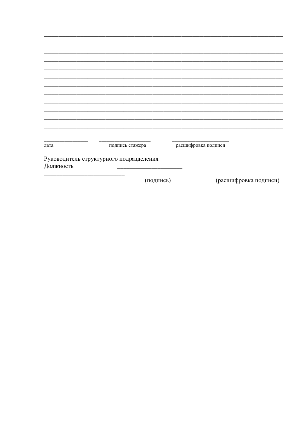| дата      | подпись стажера                         | расшифровка подписи |                       |
|-----------|-----------------------------------------|---------------------|-----------------------|
| Должность | Руководитель структурного подразделения |                     |                       |
|           | (подпись)                               |                     | (расшифровка подписи) |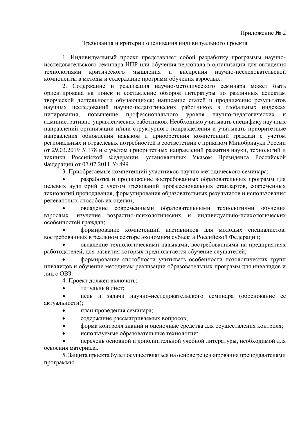#### Требования и критерии оценивания индивидуального проекта

1. Индивидуальный проект представляет собой разработку программы научноисследовательского семинара НПР или обучения персонала в организации для овладения технологиями критического мышления и внедрения научно-исследовательской компоненты в методы и содержание программ обучения взрослых.

2. Содержание и реализация научно-методического семинара может быть ориентирована на поиск и составление обзоров литературы по различных аспектам творческой деятельности обучающихся; написание статей и продвижение результатов научных исследований научно-педагогических работников в глобальных индексах цитирования; повышение профессионального уровня научно-педагогических и административно-управленческих работников. Необходимо учитывать специфику научных направлений организации и/или структурного подразделения и учитывать приоритетные направления обновления навыков и приобретения компетенций граждан с учётом региональных и отраслевых потребностей в соответствии с приказом Минобрнауки России от 29.03.2019 №178 и с учётом приоритетных направлений развития науки, технологий и техники Российской Федерации, установленных Указом Президента Российской Федерации от 07.07.2011 № 899.

3. Приобретаемые компетенций участников научно-методического семинара:

разработка и продвижение востребованных образовательных программ для целевых аудиторий с учетом требований профессиональных стандартов, современных технологий преподавания, формулирования образовательных результатов и использования релевантных способов их оценки;

овладение современными образовательными технологиями обучения взрослых, изучение возрастно-психологических и индивидуально-психологических особенностей граждан;

формирование компетенций наставников для молодых специалистов, востребованных в реальном секторе экономики субъекта Российской Федерации;

овладение технологическими навыками, востребованными на предприятиях работодателей, для развития которых предполагается обучение слушателей;

формирование способности учитывать особенности нозологических групп инвалидов и обучение методикам реализации образовательных программ для инвалидов и лиц с ОВЗ.

4. Проект должен включать:

• ТИТУЛЬНЫЙ ЛИСТ:

цель и задачи научно-исследовательского семинара (обоснование ее актуальности);

- план проведения семинара;
- содержание рассматриваемых вопросов;
- форма контроля знаний и оценочные средства для осуществления контроля;
- используемые образовательные технологии;

перечень основной и дополнительной учебной литературы, необходимой для освоения материала.

5. Защита проекта будет осуществляться на основе рецензирования преподавателями программы.